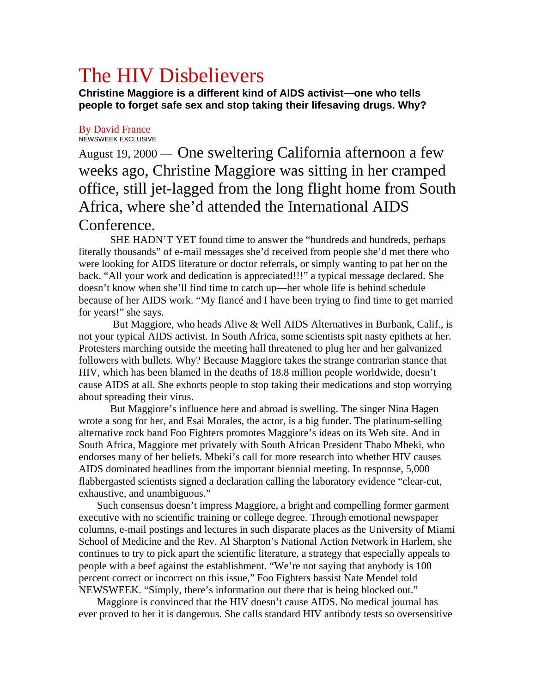## The HIV Disbelievers

**Christine Maggiore is a different kind of AIDS activist—one who tells people to forget safe sex and stop taking their lifesaving drugs. Why?** 

## By David France NEWSWEEK EXCLUSIVE

August 19, 2000 — One sweltering California afternoon a few weeks ago, Christine Maggiore was sitting in her cramped office, still jet-lagged from the long flight home from South Africa, where she'd attended the International AIDS Conference.

 SHE HADN'T YET found time to answer the "hundreds and hundreds, perhaps literally thousands" of e-mail messages she'd received from people she'd met there who were looking for AIDS literature or doctor referrals, or simply wanting to pat her on the back. "All your work and dedication is appreciated!!!" a typical message declared. She doesn't know when she'll find time to catch up—her whole life is behind schedule because of her AIDS work. "My fiancé and I have been trying to find time to get married for years!" she says.

 But Maggiore, who heads Alive & Well AIDS Alternatives in Burbank, Calif., is not your typical AIDS activist. In South Africa, some scientists spit nasty epithets at her. Protesters marching outside the meeting hall threatened to plug her and her galvanized followers with bullets. Why? Because Maggiore takes the strange contrarian stance that HIV, which has been blamed in the deaths of 18.8 million people worldwide, doesn't cause AIDS at all. She exhorts people to stop taking their medications and stop worrying about spreading their virus.

 But Maggiore's influence here and abroad is swelling. The singer Nina Hagen wrote a song for her, and Esai Morales, the actor, is a big funder. The platinum-selling alternative rock band Foo Fighters promotes Maggiore's ideas on its Web site. And in South Africa, Maggiore met privately with South African President Thabo Mbeki, who endorses many of her beliefs. Mbeki's call for more research into whether HIV causes AIDS dominated headlines from the important biennial meeting. In response, 5,000 flabbergasted scientists signed a declaration calling the laboratory evidence "clear-cut, exhaustive, and unambiguous."

 Such consensus doesn't impress Maggiore, a bright and compelling former garment executive with no scientific training or college degree. Through emotional newspaper columns, e-mail postings and lectures in such disparate places as the University of Miami School of Medicine and the Rev. Al Sharpton's National Action Network in Harlem, she continues to try to pick apart the scientific literature, a strategy that especially appeals to people with a beef against the establishment. "We're not saying that anybody is 100 percent correct or incorrect on this issue," Foo Fighters bassist Nate Mendel told NEWSWEEK. "Simply, there's information out there that is being blocked out."

 Maggiore is convinced that the HIV doesn't cause AIDS. No medical journal has ever proved to her it is dangerous. She calls standard HIV antibody tests so oversensitive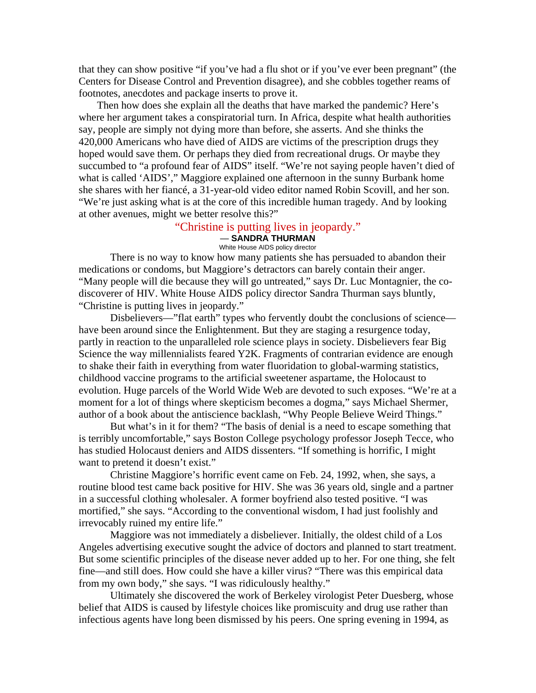that they can show positive "if you've had a flu shot or if you've ever been pregnant" (the Centers for Disease Control and Prevention disagree), and she cobbles together reams of footnotes, anecdotes and package inserts to prove it.

 Then how does she explain all the deaths that have marked the pandemic? Here's where her argument takes a conspiratorial turn. In Africa, despite what health authorities say, people are simply not dying more than before, she asserts. And she thinks the 420,000 Americans who have died of AIDS are victims of the prescription drugs they hoped would save them. Or perhaps they died from recreational drugs. Or maybe they succumbed to "a profound fear of AIDS" itself. "We're not saying people haven't died of what is called 'AIDS'," Maggiore explained one afternoon in the sunny Burbank home she shares with her fiancé, a 31-year-old video editor named Robin Scovill, and her son. "We're just asking what is at the core of this incredible human tragedy. And by looking at other avenues, might we better resolve this?"

## "Christine is putting lives in jeopardy." — **SANDRA THURMAN** White House AIDS policy director

 There is no way to know how many patients she has persuaded to abandon their medications or condoms, but Maggiore's detractors can barely contain their anger. "Many people will die because they will go untreated," says Dr. Luc Montagnier, the codiscoverer of HIV. White House AIDS policy director Sandra Thurman says bluntly, "Christine is putting lives in jeopardy."

 Disbelievers—"flat earth" types who fervently doubt the conclusions of science have been around since the Enlightenment. But they are staging a resurgence today, partly in reaction to the unparalleled role science plays in society. Disbelievers fear Big Science the way millennialists feared Y2K. Fragments of contrarian evidence are enough to shake their faith in everything from water fluoridation to global-warming statistics, childhood vaccine programs to the artificial sweetener aspartame, the Holocaust to evolution. Huge parcels of the World Wide Web are devoted to such exposes. "We're at a moment for a lot of things where skepticism becomes a dogma," says Michael Shermer, author of a book about the antiscience backlash, "Why People Believe Weird Things."

 But what's in it for them? "The basis of denial is a need to escape something that is terribly uncomfortable," says Boston College psychology professor Joseph Tecce, who has studied Holocaust deniers and AIDS dissenters. "If something is horrific, I might want to pretend it doesn't exist."

 Christine Maggiore's horrific event came on Feb. 24, 1992, when, she says, a routine blood test came back positive for HIV. She was 36 years old, single and a partner in a successful clothing wholesaler. A former boyfriend also tested positive. "I was mortified," she says. "According to the conventional wisdom, I had just foolishly and irrevocably ruined my entire life."

 Maggiore was not immediately a disbeliever. Initially, the oldest child of a Los Angeles advertising executive sought the advice of doctors and planned to start treatment. But some scientific principles of the disease never added up to her. For one thing, she felt fine—and still does. How could she have a killer virus? "There was this empirical data from my own body," she says. "I was ridiculously healthy."

 Ultimately she discovered the work of Berkeley virologist Peter Duesberg, whose belief that AIDS is caused by lifestyle choices like promiscuity and drug use rather than infectious agents have long been dismissed by his peers. One spring evening in 1994, as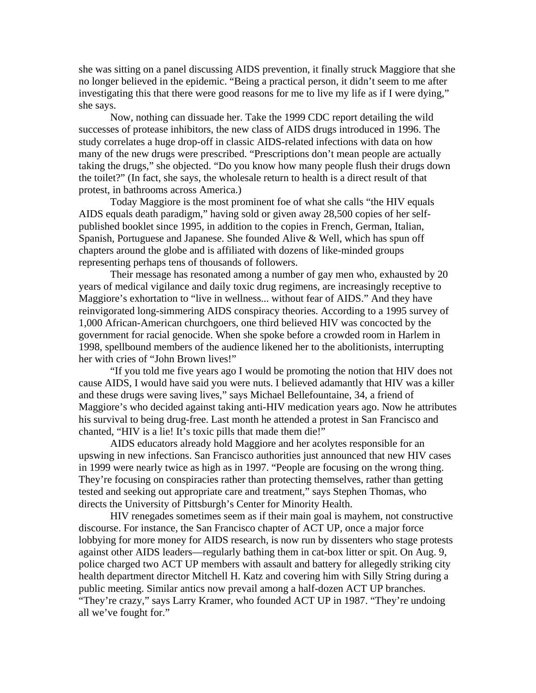she was sitting on a panel discussing AIDS prevention, it finally struck Maggiore that she no longer believed in the epidemic. "Being a practical person, it didn't seem to me after investigating this that there were good reasons for me to live my life as if I were dying," she says.

 Now, nothing can dissuade her. Take the 1999 CDC report detailing the wild successes of protease inhibitors, the new class of AIDS drugs introduced in 1996. The study correlates a huge drop-off in classic AIDS-related infections with data on how many of the new drugs were prescribed. "Prescriptions don't mean people are actually taking the drugs," she objected. "Do you know how many people flush their drugs down the toilet?" (In fact, she says, the wholesale return to health is a direct result of that protest, in bathrooms across America.)

 Today Maggiore is the most prominent foe of what she calls "the HIV equals AIDS equals death paradigm," having sold or given away 28,500 copies of her selfpublished booklet since 1995, in addition to the copies in French, German, Italian, Spanish, Portuguese and Japanese. She founded Alive & Well, which has spun off chapters around the globe and is affiliated with dozens of like-minded groups representing perhaps tens of thousands of followers.

 Their message has resonated among a number of gay men who, exhausted by 20 years of medical vigilance and daily toxic drug regimens, are increasingly receptive to Maggiore's exhortation to "live in wellness... without fear of AIDS." And they have reinvigorated long-simmering AIDS conspiracy theories. According to a 1995 survey of 1,000 African-American churchgoers, one third believed HIV was concocted by the government for racial genocide. When she spoke before a crowded room in Harlem in 1998, spellbound members of the audience likened her to the abolitionists, interrupting her with cries of "John Brown lives!"

 "If you told me five years ago I would be promoting the notion that HIV does not cause AIDS, I would have said you were nuts. I believed adamantly that HIV was a killer and these drugs were saving lives," says Michael Bellefountaine, 34, a friend of Maggiore's who decided against taking anti-HIV medication years ago. Now he attributes his survival to being drug-free. Last month he attended a protest in San Francisco and chanted, "HIV is a lie! It's toxic pills that made them die!"

 AIDS educators already hold Maggiore and her acolytes responsible for an upswing in new infections. San Francisco authorities just announced that new HIV cases in 1999 were nearly twice as high as in 1997. "People are focusing on the wrong thing. They're focusing on conspiracies rather than protecting themselves, rather than getting tested and seeking out appropriate care and treatment," says Stephen Thomas, who directs the University of Pittsburgh's Center for Minority Health.

 HIV renegades sometimes seem as if their main goal is mayhem, not constructive discourse. For instance, the San Francisco chapter of ACT UP, once a major force lobbying for more money for AIDS research, is now run by dissenters who stage protests against other AIDS leaders—regularly bathing them in cat-box litter or spit. On Aug. 9, police charged two ACT UP members with assault and battery for allegedly striking city health department director Mitchell H. Katz and covering him with Silly String during a public meeting. Similar antics now prevail among a half-dozen ACT UP branches.

"They're crazy," says Larry Kramer, who founded ACT UP in 1987. "They're undoing all we've fought for."